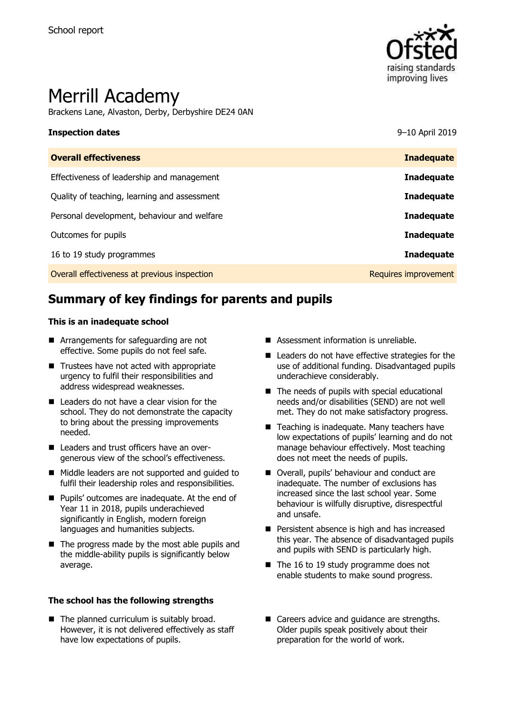

# Merrill Academy

Brackens Lane, Alvaston, Derby, Derbyshire DE24 0AN

#### **Inspection dates** 9–10 April 2019

| <b>Inadequate</b>    |
|----------------------|
|                      |
| <b>Inadequate</b>    |
| <b>Inadequate</b>    |
| <b>Inadequate</b>    |
| <b>Inadequate</b>    |
| <b>Inadequate</b>    |
| Requires improvement |
|                      |

# **Summary of key findings for parents and pupils**

#### **This is an inadequate school**

- **E** Arrangements for safeguarding are not effective. Some pupils do not feel safe.
- Trustees have not acted with appropriate urgency to fulfil their responsibilities and address widespread weaknesses.
- Leaders do not have a clear vision for the school. They do not demonstrate the capacity to bring about the pressing improvements needed.
- Leaders and trust officers have an overgenerous view of the school's effectiveness.
- Middle leaders are not supported and quided to fulfil their leadership roles and responsibilities.
- **Pupils' outcomes are inadequate. At the end of** Year 11 in 2018, pupils underachieved significantly in English, modern foreign languages and humanities subjects.
- $\blacksquare$  The progress made by the most able pupils and the middle-ability pupils is significantly below average.

#### **The school has the following strengths**

■ The planned curriculum is suitably broad. However, it is not delivered effectively as staff have low expectations of pupils.

- Assessment information is unreliable.
- Leaders do not have effective strategies for the use of additional funding. Disadvantaged pupils underachieve considerably.
- $\blacksquare$  The needs of pupils with special educational needs and/or disabilities (SEND) are not well met. They do not make satisfactory progress.
- Teaching is inadequate. Many teachers have low expectations of pupils' learning and do not manage behaviour effectively. Most teaching does not meet the needs of pupils.
- Overall, pupils' behaviour and conduct are inadequate. The number of exclusions has increased since the last school year. Some behaviour is wilfully disruptive, disrespectful and unsafe.
- **Persistent absence is high and has increased** this year. The absence of disadvantaged pupils and pupils with SEND is particularly high.
- $\blacksquare$  The 16 to 19 study programme does not enable students to make sound progress.
- Careers advice and quidance are strengths. Older pupils speak positively about their preparation for the world of work.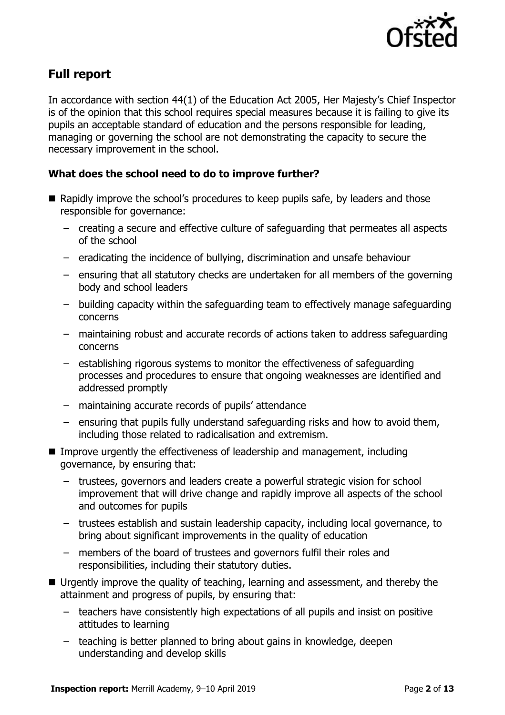

# **Full report**

In accordance with section 44(1) of the Education Act 2005, Her Majesty's Chief Inspector is of the opinion that this school requires special measures because it is failing to give its pupils an acceptable standard of education and the persons responsible for leading, managing or governing the school are not demonstrating the capacity to secure the necessary improvement in the school.

### **What does the school need to do to improve further?**

- Rapidly improve the school's procedures to keep pupils safe, by leaders and those responsible for governance:
	- creating a secure and effective culture of safeguarding that permeates all aspects of the school
	- eradicating the incidence of bullying, discrimination and unsafe behaviour
	- ensuring that all statutory checks are undertaken for all members of the governing body and school leaders
	- building capacity within the safeguarding team to effectively manage safeguarding concerns
	- maintaining robust and accurate records of actions taken to address safeguarding concerns
	- establishing rigorous systems to monitor the effectiveness of safeguarding processes and procedures to ensure that ongoing weaknesses are identified and addressed promptly
	- maintaining accurate records of pupils' attendance
	- ensuring that pupils fully understand safeguarding risks and how to avoid them, including those related to radicalisation and extremism.
- Improve urgently the effectiveness of leadership and management, including governance, by ensuring that:
	- trustees, governors and leaders create a powerful strategic vision for school improvement that will drive change and rapidly improve all aspects of the school and outcomes for pupils
	- trustees establish and sustain leadership capacity, including local governance, to bring about significant improvements in the quality of education
	- members of the board of trustees and governors fulfil their roles and responsibilities, including their statutory duties.
- Urgently improve the quality of teaching, learning and assessment, and thereby the attainment and progress of pupils, by ensuring that:
	- teachers have consistently high expectations of all pupils and insist on positive attitudes to learning
	- teaching is better planned to bring about gains in knowledge, deepen understanding and develop skills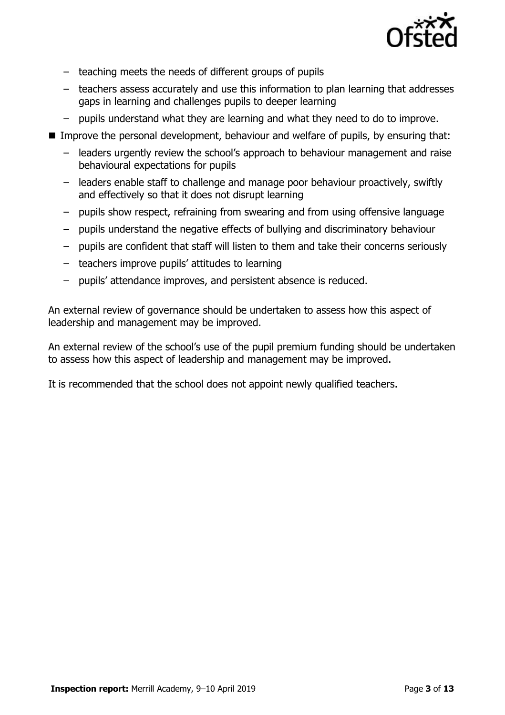

- teaching meets the needs of different groups of pupils
- teachers assess accurately and use this information to plan learning that addresses gaps in learning and challenges pupils to deeper learning
- pupils understand what they are learning and what they need to do to improve.
- **IMPROVE the personal development, behaviour and welfare of pupils, by ensuring that:** 
	- leaders urgently review the school's approach to behaviour management and raise behavioural expectations for pupils
	- leaders enable staff to challenge and manage poor behaviour proactively, swiftly and effectively so that it does not disrupt learning
	- pupils show respect, refraining from swearing and from using offensive language
	- pupils understand the negative effects of bullying and discriminatory behaviour
	- pupils are confident that staff will listen to them and take their concerns seriously
	- teachers improve pupils' attitudes to learning
	- pupils' attendance improves, and persistent absence is reduced.

An external review of governance should be undertaken to assess how this aspect of leadership and management may be improved.

An external review of the school's use of the pupil premium funding should be undertaken to assess how this aspect of leadership and management may be improved.

It is recommended that the school does not appoint newly qualified teachers.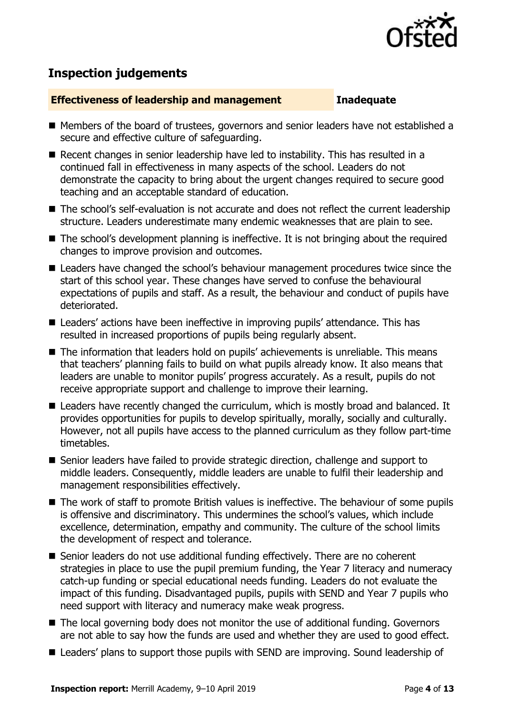

# **Inspection judgements**

#### **Effectiveness of leadership and management Inadequate**

- Members of the board of trustees, governors and senior leaders have not established a secure and effective culture of safeguarding.
- Recent changes in senior leadership have led to instability. This has resulted in a continued fall in effectiveness in many aspects of the school. Leaders do not demonstrate the capacity to bring about the urgent changes required to secure good teaching and an acceptable standard of education.
- The school's self-evaluation is not accurate and does not reflect the current leadership structure. Leaders underestimate many endemic weaknesses that are plain to see.
- The school's development planning is ineffective. It is not bringing about the required changes to improve provision and outcomes.
- Leaders have changed the school's behaviour management procedures twice since the start of this school year. These changes have served to confuse the behavioural expectations of pupils and staff. As a result, the behaviour and conduct of pupils have deteriorated.
- Leaders' actions have been ineffective in improving pupils' attendance. This has resulted in increased proportions of pupils being regularly absent.
- The information that leaders hold on pupils' achievements is unreliable. This means that teachers' planning fails to build on what pupils already know. It also means that leaders are unable to monitor pupils' progress accurately. As a result, pupils do not receive appropriate support and challenge to improve their learning.
- Leaders have recently changed the curriculum, which is mostly broad and balanced. It provides opportunities for pupils to develop spiritually, morally, socially and culturally. However, not all pupils have access to the planned curriculum as they follow part-time timetables.
- Senior leaders have failed to provide strategic direction, challenge and support to middle leaders. Consequently, middle leaders are unable to fulfil their leadership and management responsibilities effectively.
- The work of staff to promote British values is ineffective. The behaviour of some pupils is offensive and discriminatory. This undermines the school's values, which include excellence, determination, empathy and community. The culture of the school limits the development of respect and tolerance.
- Senior leaders do not use additional funding effectively. There are no coherent strategies in place to use the pupil premium funding, the Year 7 literacy and numeracy catch-up funding or special educational needs funding. Leaders do not evaluate the impact of this funding. Disadvantaged pupils, pupils with SEND and Year 7 pupils who need support with literacy and numeracy make weak progress.
- The local governing body does not monitor the use of additional funding. Governors are not able to say how the funds are used and whether they are used to good effect.
- Leaders' plans to support those pupils with SEND are improving. Sound leadership of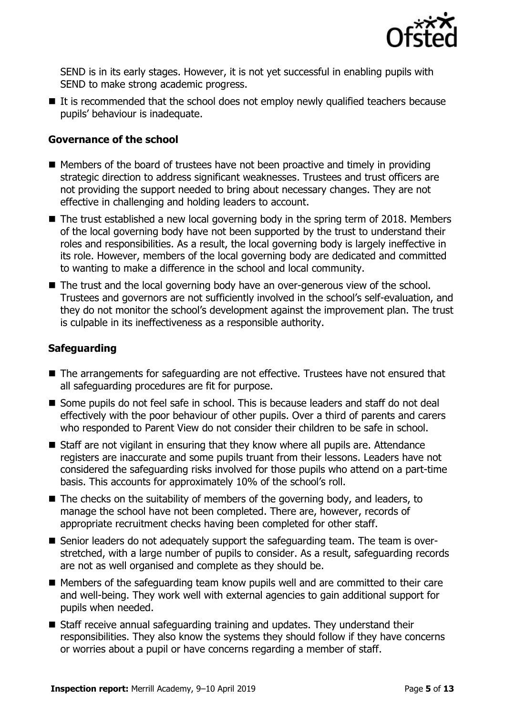

SEND is in its early stages. However, it is not yet successful in enabling pupils with SEND to make strong academic progress.

 $\blacksquare$  It is recommended that the school does not employ newly qualified teachers because pupils' behaviour is inadequate.

#### **Governance of the school**

- $\blacksquare$  Members of the board of trustees have not been proactive and timely in providing strategic direction to address significant weaknesses. Trustees and trust officers are not providing the support needed to bring about necessary changes. They are not effective in challenging and holding leaders to account.
- The trust established a new local governing body in the spring term of 2018. Members of the local governing body have not been supported by the trust to understand their roles and responsibilities. As a result, the local governing body is largely ineffective in its role. However, members of the local governing body are dedicated and committed to wanting to make a difference in the school and local community.
- The trust and the local governing body have an over-generous view of the school. Trustees and governors are not sufficiently involved in the school's self-evaluation, and they do not monitor the school's development against the improvement plan. The trust is culpable in its ineffectiveness as a responsible authority.

### **Safeguarding**

- The arrangements for safeguarding are not effective. Trustees have not ensured that all safeguarding procedures are fit for purpose.
- Some pupils do not feel safe in school. This is because leaders and staff do not deal effectively with the poor behaviour of other pupils. Over a third of parents and carers who responded to Parent View do not consider their children to be safe in school.
- Staff are not vigilant in ensuring that they know where all pupils are. Attendance registers are inaccurate and some pupils truant from their lessons. Leaders have not considered the safeguarding risks involved for those pupils who attend on a part-time basis. This accounts for approximately 10% of the school's roll.
- $\blacksquare$  The checks on the suitability of members of the governing body, and leaders, to manage the school have not been completed. There are, however, records of appropriate recruitment checks having been completed for other staff.
- Senior leaders do not adequately support the safeguarding team. The team is overstretched, with a large number of pupils to consider. As a result, safeguarding records are not as well organised and complete as they should be.
- Members of the safeguarding team know pupils well and are committed to their care and well-being. They work well with external agencies to gain additional support for pupils when needed.
- Staff receive annual safeguarding training and updates. They understand their responsibilities. They also know the systems they should follow if they have concerns or worries about a pupil or have concerns regarding a member of staff.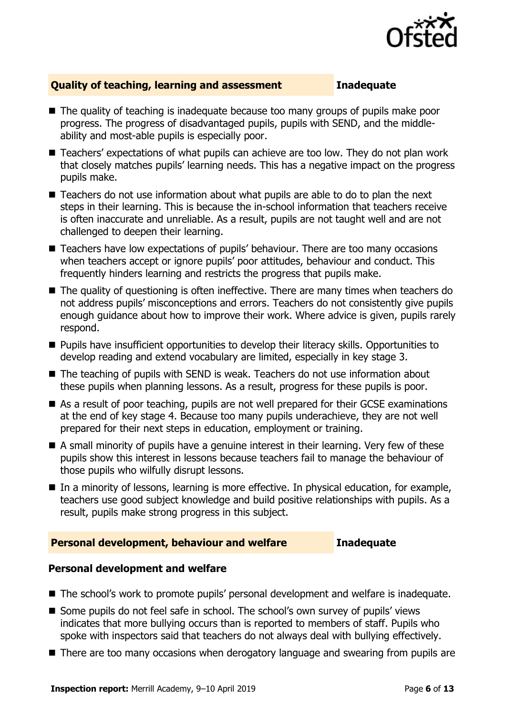

### **Quality of teaching, learning and assessment Inadequate**

- The quality of teaching is inadequate because too many groups of pupils make poor progress. The progress of disadvantaged pupils, pupils with SEND, and the middleability and most-able pupils is especially poor.
- Teachers' expectations of what pupils can achieve are too low. They do not plan work that closely matches pupils' learning needs. This has a negative impact on the progress pupils make.
- Teachers do not use information about what pupils are able to do to plan the next steps in their learning. This is because the in-school information that teachers receive is often inaccurate and unreliable. As a result, pupils are not taught well and are not challenged to deepen their learning.
- Teachers have low expectations of pupils' behaviour. There are too many occasions when teachers accept or ignore pupils' poor attitudes, behaviour and conduct. This frequently hinders learning and restricts the progress that pupils make.
- The quality of questioning is often ineffective. There are many times when teachers do not address pupils' misconceptions and errors. Teachers do not consistently give pupils enough guidance about how to improve their work. Where advice is given, pupils rarely respond.
- Pupils have insufficient opportunities to develop their literacy skills. Opportunities to develop reading and extend vocabulary are limited, especially in key stage 3.
- The teaching of pupils with SEND is weak. Teachers do not use information about these pupils when planning lessons. As a result, progress for these pupils is poor.
- As a result of poor teaching, pupils are not well prepared for their GCSE examinations at the end of key stage 4. Because too many pupils underachieve, they are not well prepared for their next steps in education, employment or training.
- A small minority of pupils have a genuine interest in their learning. Very few of these pupils show this interest in lessons because teachers fail to manage the behaviour of those pupils who wilfully disrupt lessons.
- In a minority of lessons, learning is more effective. In physical education, for example, teachers use good subject knowledge and build positive relationships with pupils. As a result, pupils make strong progress in this subject.

### **Personal development, behaviour and welfare Inadequate**

### **Personal development and welfare**

- The school's work to promote pupils' personal development and welfare is inadequate.
- Some pupils do not feel safe in school. The school's own survey of pupils' views indicates that more bullying occurs than is reported to members of staff. Pupils who spoke with inspectors said that teachers do not always deal with bullying effectively.
- There are too many occasions when derogatory language and swearing from pupils are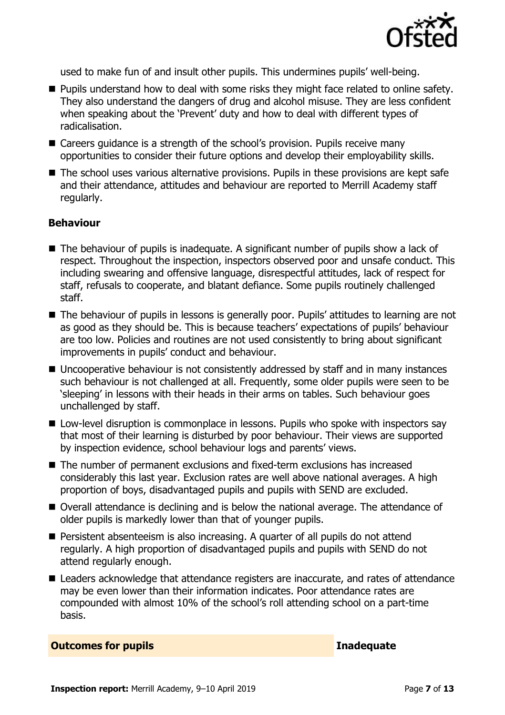

used to make fun of and insult other pupils. This undermines pupils' well-being.

- **Pupils understand how to deal with some risks they might face related to online safety.** They also understand the dangers of drug and alcohol misuse. They are less confident when speaking about the 'Prevent' duty and how to deal with different types of radicalisation.
- Careers guidance is a strength of the school's provision. Pupils receive many opportunities to consider their future options and develop their employability skills.
- The school uses various alternative provisions. Pupils in these provisions are kept safe and their attendance, attitudes and behaviour are reported to Merrill Academy staff regularly.

#### **Behaviour**

- The behaviour of pupils is inadequate. A significant number of pupils show a lack of respect. Throughout the inspection, inspectors observed poor and unsafe conduct. This including swearing and offensive language, disrespectful attitudes, lack of respect for staff, refusals to cooperate, and blatant defiance. Some pupils routinely challenged staff.
- The behaviour of pupils in lessons is generally poor. Pupils' attitudes to learning are not as good as they should be. This is because teachers' expectations of pupils' behaviour are too low. Policies and routines are not used consistently to bring about significant improvements in pupils' conduct and behaviour.
- Uncooperative behaviour is not consistently addressed by staff and in many instances such behaviour is not challenged at all. Frequently, some older pupils were seen to be 'sleeping' in lessons with their heads in their arms on tables. Such behaviour goes unchallenged by staff.
- Low-level disruption is commonplace in lessons. Pupils who spoke with inspectors say that most of their learning is disturbed by poor behaviour. Their views are supported by inspection evidence, school behaviour logs and parents' views.
- The number of permanent exclusions and fixed-term exclusions has increased considerably this last year. Exclusion rates are well above national averages. A high proportion of boys, disadvantaged pupils and pupils with SEND are excluded.
- Overall attendance is declining and is below the national average. The attendance of older pupils is markedly lower than that of younger pupils.
- Persistent absenteeism is also increasing. A quarter of all pupils do not attend regularly. A high proportion of disadvantaged pupils and pupils with SEND do not attend regularly enough.
- Leaders acknowledge that attendance registers are inaccurate, and rates of attendance may be even lower than their information indicates. Poor attendance rates are compounded with almost 10% of the school's roll attending school on a part-time basis.

**Outcomes for pupils Inadequate**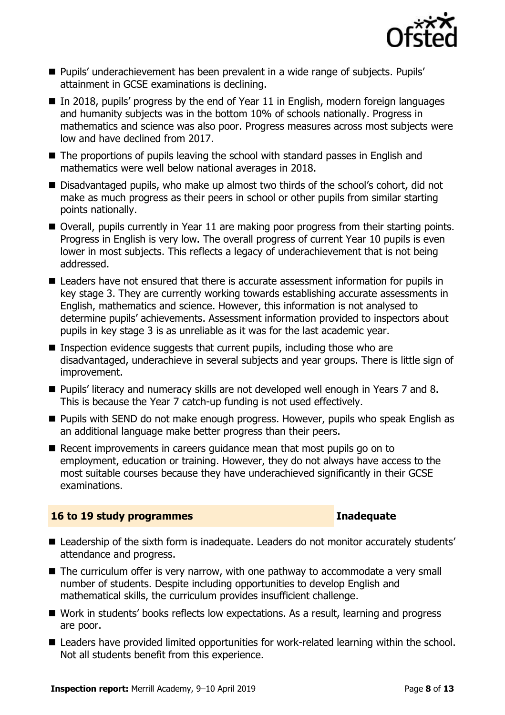

- Pupils' underachievement has been prevalent in a wide range of subjects. Pupils' attainment in GCSE examinations is declining.
- $\blacksquare$  In 2018, pupils' progress by the end of Year 11 in English, modern foreign languages and humanity subjects was in the bottom 10% of schools nationally. Progress in mathematics and science was also poor. Progress measures across most subjects were low and have declined from 2017.
- The proportions of pupils leaving the school with standard passes in English and mathematics were well below national averages in 2018.
- Disadvantaged pupils, who make up almost two thirds of the school's cohort, did not make as much progress as their peers in school or other pupils from similar starting points nationally.
- Overall, pupils currently in Year 11 are making poor progress from their starting points. Progress in English is very low. The overall progress of current Year 10 pupils is even lower in most subjects. This reflects a legacy of underachievement that is not being addressed.
- Leaders have not ensured that there is accurate assessment information for pupils in key stage 3. They are currently working towards establishing accurate assessments in English, mathematics and science. However, this information is not analysed to determine pupils' achievements. Assessment information provided to inspectors about pupils in key stage 3 is as unreliable as it was for the last academic year.
- **Inspection evidence suggests that current pupils, including those who are** disadvantaged, underachieve in several subjects and year groups. There is little sign of improvement.
- Pupils' literacy and numeracy skills are not developed well enough in Years 7 and 8. This is because the Year 7 catch-up funding is not used effectively.
- **Pupils with SEND do not make enough progress. However, pupils who speak English as** an additional language make better progress than their peers.
- $\blacksquare$  Recent improvements in careers quidance mean that most pupils go on to employment, education or training. However, they do not always have access to the most suitable courses because they have underachieved significantly in their GCSE examinations.

### **16 to 19 study programmes Inadequate**

- Leadership of the sixth form is inadequate. Leaders do not monitor accurately students' attendance and progress.
- The curriculum offer is very narrow, with one pathway to accommodate a very small number of students. Despite including opportunities to develop English and mathematical skills, the curriculum provides insufficient challenge.
- Work in students' books reflects low expectations. As a result, learning and progress are poor.
- Leaders have provided limited opportunities for work-related learning within the school. Not all students benefit from this experience.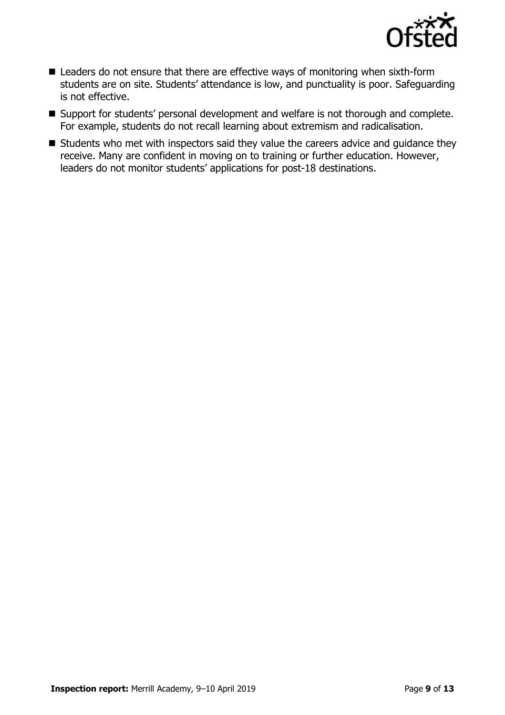

- Leaders do not ensure that there are effective ways of monitoring when sixth-form students are on site. Students' attendance is low, and punctuality is poor. Safeguarding is not effective.
- Support for students' personal development and welfare is not thorough and complete. For example, students do not recall learning about extremism and radicalisation.
- Students who met with inspectors said they value the careers advice and guidance they receive. Many are confident in moving on to training or further education. However, leaders do not monitor students' applications for post-18 destinations.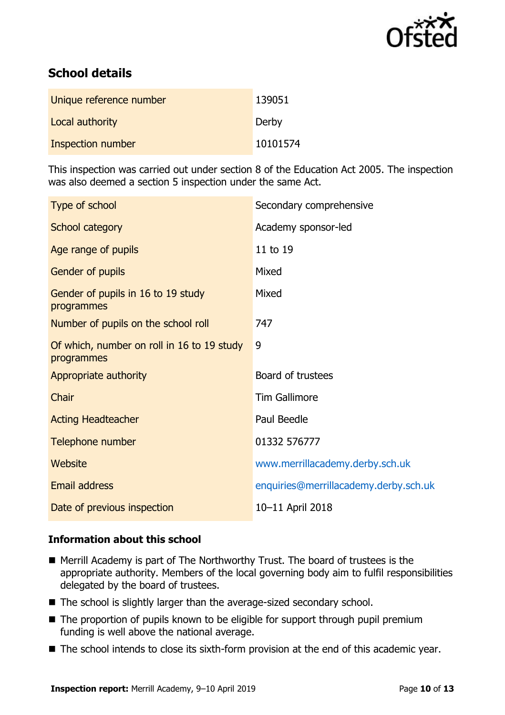

# **School details**

| Unique reference number | 139051   |
|-------------------------|----------|
| Local authority         | Derby    |
| Inspection number       | 10101574 |

This inspection was carried out under section 8 of the Education Act 2005. The inspection was also deemed a section 5 inspection under the same Act.

| Type of school                                           | Secondary comprehensive               |
|----------------------------------------------------------|---------------------------------------|
| School category                                          | Academy sponsor-led                   |
| Age range of pupils                                      | 11 to 19                              |
| Gender of pupils                                         | Mixed                                 |
| Gender of pupils in 16 to 19 study<br>programmes         | Mixed                                 |
| Number of pupils on the school roll                      | 747                                   |
| Of which, number on roll in 16 to 19 study<br>programmes | 9                                     |
| Appropriate authority                                    | Board of trustees                     |
| Chair                                                    | <b>Tim Gallimore</b>                  |
| <b>Acting Headteacher</b>                                | Paul Beedle                           |
| Telephone number                                         | 01332 576777                          |
| Website                                                  | www.merrillacademy.derby.sch.uk       |
| <b>Email address</b>                                     | enquiries@merrillacademy.derby.sch.uk |
| Date of previous inspection                              | 10-11 April 2018                      |

### **Information about this school**

- Merrill Academy is part of The Northworthy Trust. The board of trustees is the appropriate authority. Members of the local governing body aim to fulfil responsibilities delegated by the board of trustees.
- The school is slightly larger than the average-sized secondary school.
- $\blacksquare$  The proportion of pupils known to be eligible for support through pupil premium funding is well above the national average.
- The school intends to close its sixth-form provision at the end of this academic year.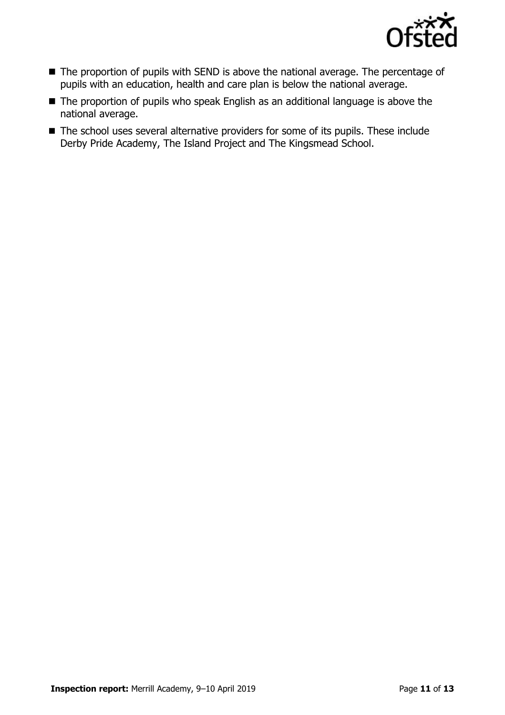

- The proportion of pupils with SEND is above the national average. The percentage of pupils with an education, health and care plan is below the national average.
- The proportion of pupils who speak English as an additional language is above the national average.
- The school uses several alternative providers for some of its pupils. These include Derby Pride Academy, The Island Project and The Kingsmead School.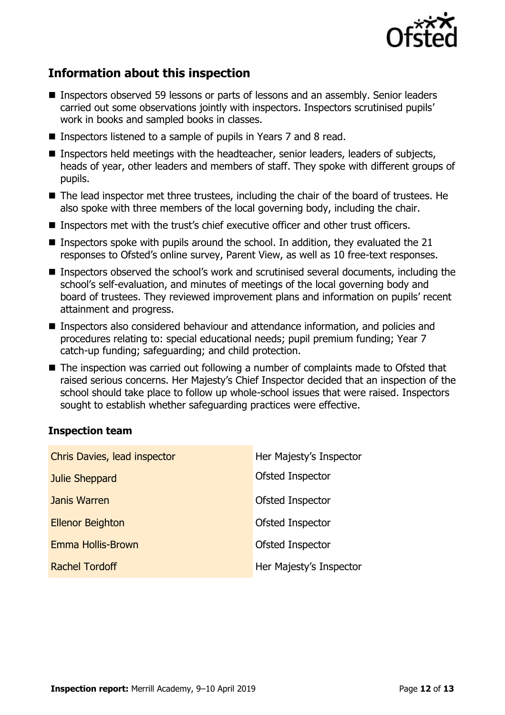

# **Information about this inspection**

- Inspectors observed 59 lessons or parts of lessons and an assembly. Senior leaders carried out some observations jointly with inspectors. Inspectors scrutinised pupils' work in books and sampled books in classes.
- Inspectors listened to a sample of pupils in Years 7 and 8 read.
- Inspectors held meetings with the headteacher, senior leaders, leaders of subjects, heads of year, other leaders and members of staff. They spoke with different groups of pupils.
- The lead inspector met three trustees, including the chair of the board of trustees. He also spoke with three members of the local governing body, including the chair.
- Inspectors met with the trust's chief executive officer and other trust officers.
- **Inspectors spoke with pupils around the school. In addition, they evaluated the 21** responses to Ofsted's online survey, Parent View, as well as 10 free-text responses.
- Inspectors observed the school's work and scrutinised several documents, including the school's self-evaluation, and minutes of meetings of the local governing body and board of trustees. They reviewed improvement plans and information on pupils' recent attainment and progress.
- Inspectors also considered behaviour and attendance information, and policies and procedures relating to: special educational needs; pupil premium funding; Year 7 catch-up funding; safeguarding; and child protection.
- The inspection was carried out following a number of complaints made to Ofsted that raised serious concerns. Her Majesty's Chief Inspector decided that an inspection of the school should take place to follow up whole-school issues that were raised. Inspectors sought to establish whether safeguarding practices were effective.

### **Inspection team**

| Chris Davies, lead inspector | Her Majesty's Inspector |
|------------------------------|-------------------------|
| Julie Sheppard               | Ofsted Inspector        |
| Janis Warren                 | Ofsted Inspector        |
| <b>Ellenor Beighton</b>      | Ofsted Inspector        |
| Emma Hollis-Brown            | Ofsted Inspector        |
| <b>Rachel Tordoff</b>        | Her Majesty's Inspector |